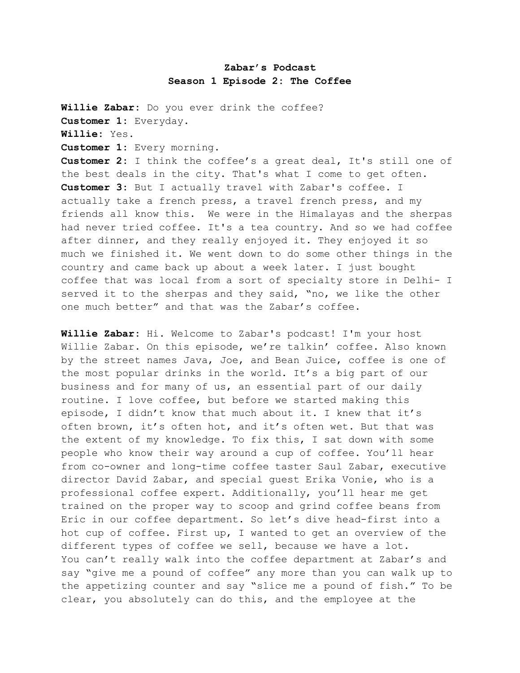## **Zabar's Podcast Season 1 Episode 2: The Coffee**

**Willie Zabar:** Do you ever drink the coffee? **Customer 1:** Everyday. **Willie:** Yes. **Customer 1:** Every morning. **Customer 2:** I think the coffee's a great deal, It's still one of the best deals in the city. That's what I come to get often. **Customer 3:** But I actually travel with Zabar's coffee. I actually take a french press, a travel french press, and my friends all know this. We were in the Himalayas and the sherpas had never tried coffee. It's a tea country. And so we had coffee after dinner, and they really enjoyed it. They enjoyed it so much we finished it. We went down to do some other things in the country and came back up about a week later. I just bought coffee that was local from a sort of specialty store in Delhi- I served it to the sherpas and they said, "no, we like the other one much better" and that was the Zabar's coffee.

**Willie Zabar:** Hi. Welcome to Zabar's podcast! I'm your host Willie Zabar. On this episode, we're talkin' coffee. Also known by the street names Java, Joe, and Bean Juice, coffee is one of the most popular drinks in the world. It's a big part of our business and for many of us, an essential part of our daily routine. I love coffee, but before we started making this episode, I didn't know that much about it. I knew that it's often brown, it's often hot, and it's often wet. But that was the extent of my knowledge. To fix this, I sat down with some people who know their way around a cup of coffee. You'll hear from co-owner and long-time coffee taster Saul Zabar, executive director David Zabar, and special guest Erika Vonie, who is a professional coffee expert. Additionally, you'll hear me get trained on the proper way to scoop and grind coffee beans from Eric in our coffee department. So let's dive head-first into a hot cup of coffee. First up, I wanted to get an overview of the different types of coffee we sell, because we have a lot. You can't really walk into the coffee department at Zabar's and say "give me a pound of coffee" any more than you can walk up to the appetizing counter and say "slice me a pound of fish." To be clear, you absolutely can do this, and the employee at the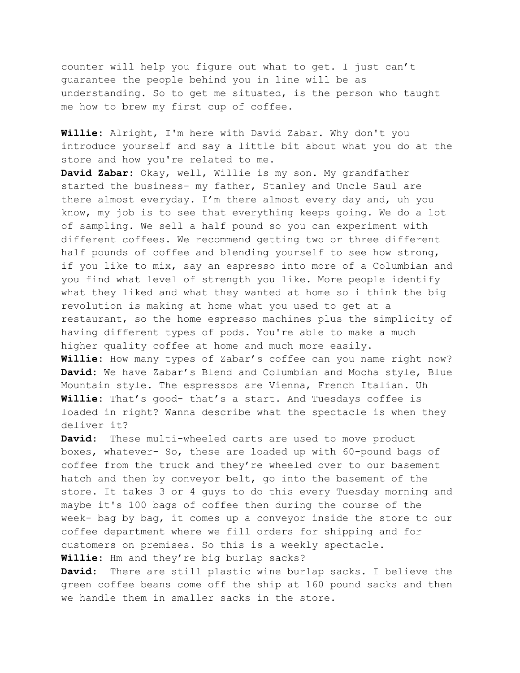counter will help you figure out what to get. I just can't guarantee the people behind you in line will be as understanding. So to get me situated, is the person who taught me how to brew my first cup of coffee.

**Willie:** Alright, I'm here with David Zabar. Why don't you introduce yourself and say a little bit about what you do at the store and how you're related to me.

**David Zabar:** Okay, well, Willie is my son. My grandfather started the business- my father, Stanley and Uncle Saul are there almost everyday. I'm there almost every day and, uh you know, my job is to see that everything keeps going. We do a lot of sampling. We sell a half pound so you can experiment with different coffees. We recommend getting two or three different half pounds of coffee and blending yourself to see how strong, if you like to mix, say an espresso into more of a Columbian and you find what level of strength you like. More people identify what they liked and what they wanted at home so i think the big revolution is making at home what you used to get at a restaurant, so the home espresso machines plus the simplicity of having different types of pods. You're able to make a much higher quality coffee at home and much more easily.

**Willie:** How many types of Zabar's coffee can you name right now? **David:** We have Zabar's Blend and Columbian and Mocha style, Blue Mountain style. The espressos are Vienna, French Italian. Uh **Willie:** That's good- that's a start. And Tuesdays coffee is loaded in right? Wanna describe what the spectacle is when they deliver it?

**David**: These multi-wheeled carts are used to move product boxes, whatever- So, these are loaded up with 60-pound bags of coffee from the truck and they're wheeled over to our basement hatch and then by conveyor belt, go into the basement of the store. It takes 3 or 4 guys to do this every Tuesday morning and maybe it's 100 bags of coffee then during the course of the week- bag by bag, it comes up a conveyor inside the store to our coffee department where we fill orders for shipping and for customers on premises. So this is a weekly spectacle. **Willie:** Hm and they're big burlap sacks?

**David**: There are still plastic wine burlap sacks. I believe the green coffee beans come off the ship at 160 pound sacks and then we handle them in smaller sacks in the store.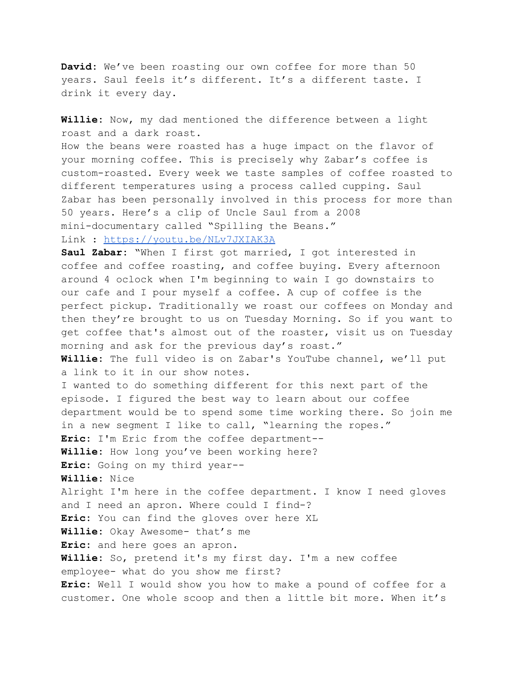**David:** We've been roasting our own coffee for more than 50 years. Saul feels it's different. It's a different taste. I drink it every day.

**Willie:** Now, my dad mentioned the difference between a light roast and a dark roast.

How the beans were roasted has a huge impact on the flavor of your morning coffee. This is precisely why Zabar's coffee is custom-roasted. Every week we taste samples of coffee roasted to different temperatures using a process called cupping. Saul Zabar has been personally involved in this process for more than 50 years. Here's a clip of Uncle Saul from a 2008 mini-documentary called "Spilling the Beans."

## Link : <https://youtu.be/NLv7JXIAK3A>

**Saul Zabar:** "When I first got married, I got interested in coffee and coffee roasting, and coffee buying. Every afternoon around 4 oclock when I'm beginning to wain I go downstairs to our cafe and I pour myself a coffee. A cup of coffee is the perfect pickup. Traditionally we roast our coffees on Monday and then they're brought to us on Tuesday Morning. So if you want to get coffee that's almost out of the roaster, visit us on Tuesday morning and ask for the previous day's roast."

**Willie:** The full video is on Zabar's YouTube channel, we'll put a link to it in our show notes.

I wanted to do something different for this next part of the episode. I figured the best way to learn about our coffee department would be to spend some time working there. So join me in a new segment I like to call, "learning the ropes."

**Eric:** I'm Eric from the coffee department--

**Willie:** How long you've been working here?

**Eric:** Going on my third year--

**Willie:** Nice

Alright I'm here in the coffee department. I know I need gloves and I need an apron. Where could I find-?

**Eric:** You can find the gloves over here XL

**Willie:** Okay Awesome- that's me

**Eric:** and here goes an apron.

**Willie:** So, pretend it's my first day. I'm a new coffee

employee- what do you show me first?

**Eric:** Well I would show you how to make a pound of coffee for a customer. One whole scoop and then a little bit more. When it's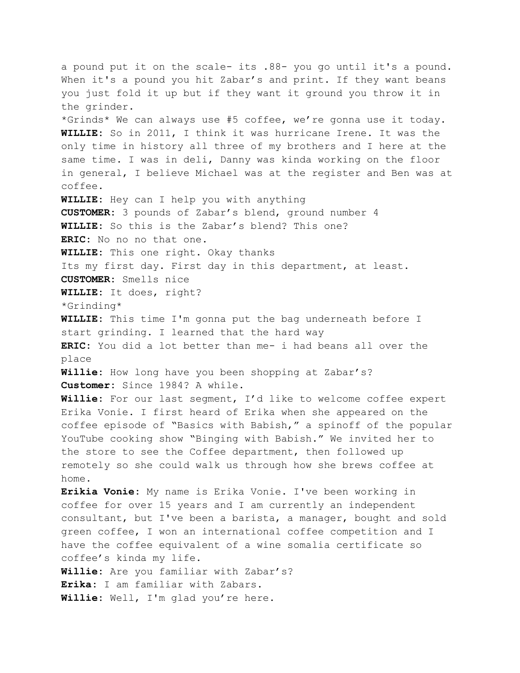a pound put it on the scale- its .88- you go until it's a pound. When it's a pound you hit Zabar's and print. If they want beans you just fold it up but if they want it ground you throw it in the grinder. \*Grinds\* We can always use #5 coffee, we're gonna use it today. **WILLIE:** So in 2011, I think it was hurricane Irene. It was the only time in history all three of my brothers and I here at the same time. I was in deli, Danny was kinda working on the floor in general, I believe Michael was at the register and Ben was at coffee. **WILLIE:** Hey can I help you with anything **CUSTOMER:** 3 pounds of Zabar's blend, ground number 4 **WILLIE:** So this is the Zabar's blend? This one? **ERIC:** No no no that one. **WILLIE:** This one right. Okay thanks Its my first day. First day in this department, at least. **CUSTOMER:** Smells nice **WILLIE:** It does, right? \*Grinding\* **WILLIE:** This time I'm gonna put the bag underneath before I start grinding. I learned that the hard way **ERIC:** You did a lot better than me- i had beans all over the place **Willie:** How long have you been shopping at Zabar's? **Customer:** Since 1984? A while. **Willie:** For our last segment, I'd like to welcome coffee expert Erika Vonie. I first heard of Erika when she appeared on the coffee episode of "Basics with Babish," a spinoff of the popular YouTube cooking show "Binging with Babish." We invited her to the store to see the Coffee department, then followed up remotely so she could walk us through how she brews coffee at home. **Erikia Vonie:** My name is Erika Vonie. I've been working in coffee for over 15 years and I am currently an independent consultant, but I've been a barista, a manager, bought and sold green coffee, I won an international coffee competition and I have the coffee equivalent of a wine somalia certificate so coffee's kinda my life. **Willie:** Are you familiar with Zabar's? **Erika:** I am familiar with Zabars. **Willie:** Well, I'm glad you're here.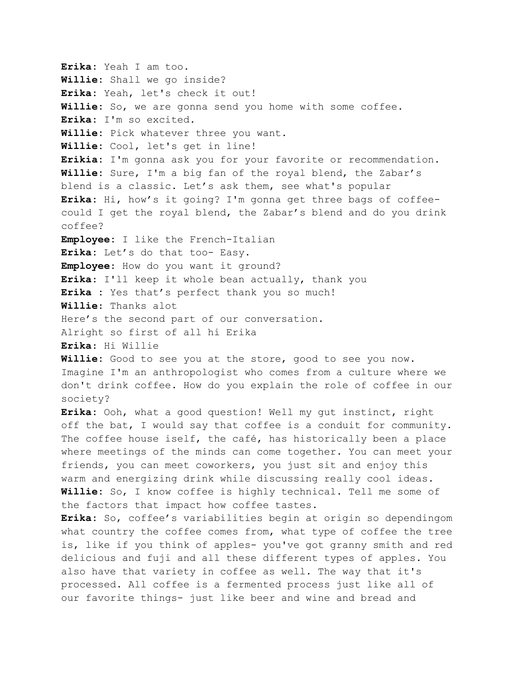**Erika:** Yeah I am too. **Willie:** Shall we go inside? **Erika:** Yeah, let's check it out! **Willie:** So, we are gonna send you home with some coffee. **Erika:** I'm so excited. **Willie:** Pick whatever three you want. **Willie:** Cool, let's get in line! **Erikia:** I'm gonna ask you for your favorite or recommendation. **Willie:** Sure, I'm a big fan of the royal blend, the Zabar's blend is a classic. Let's ask them, see what's popular **Erika:** Hi, how's it going? I'm gonna get three bags of coffeecould I get the royal blend, the Zabar's blend and do you drink coffee? **Employee:** I like the French-Italian **Erika:** Let's do that too- Easy. **Employee**: How do you want it ground? **Erika**: I'll keep it whole bean actually, thank you **Erika :** Yes that's perfect thank you so much! **Willie**: Thanks alot Here's the second part of our conversation. Alright so first of all hi Erika **Erika**: Hi Willie **Willie:** Good to see you at the store, good to see you now. Imagine I'm an anthropologist who comes from a culture where we don't drink coffee. How do you explain the role of coffee in our society? **Erika:** Ooh, what a good question! Well my gut instinct, right off the bat, I would say that coffee is a conduit for community. The coffee house iself, the café, has historically been a place where meetings of the minds can come together. You can meet your friends, you can meet coworkers, you just sit and enjoy this warm and energizing drink while discussing really cool ideas. **Willie:** So, I know coffee is highly technical. Tell me some of the factors that impact how coffee tastes. **Erika:** So, coffee's variabilities begin at origin so dependingom what country the coffee comes from, what type of coffee the tree is, like if you think of apples- you've got granny smith and red delicious and fuji and all these different types of apples. You also have that variety in coffee as well. The way that it's processed. All coffee is a fermented process just like all of

our favorite things- just like beer and wine and bread and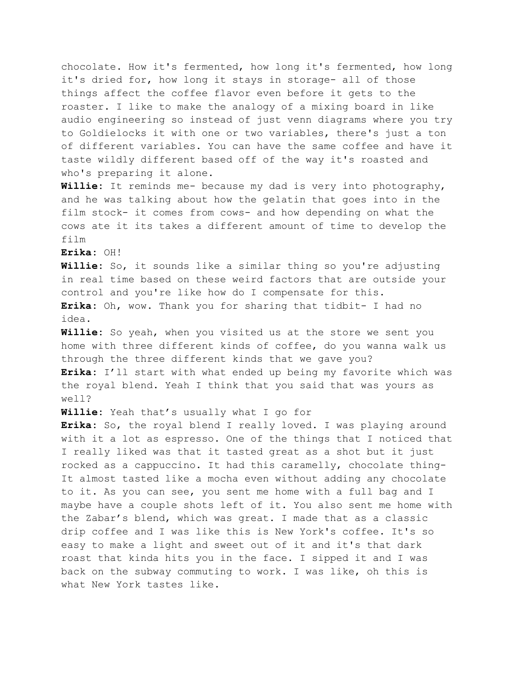chocolate. How it's fermented, how long it's fermented, how long it's dried for, how long it stays in storage- all of those things affect the coffee flavor even before it gets to the roaster. I like to make the analogy of a mixing board in like audio engineering so instead of just venn diagrams where you try to Goldielocks it with one or two variables, there's just a ton of different variables. You can have the same coffee and have it taste wildly different based off of the way it's roasted and who's preparing it alone.

**Willie:** It reminds me- because my dad is very into photography, and he was talking about how the gelatin that goes into in the film stock- it comes from cows- and how depending on what the cows ate it its takes a different amount of time to develop the film

**Erika:** OH!

**Willie:** So, it sounds like a similar thing so you're adjusting in real time based on these weird factors that are outside your control and you're like how do I compensate for this. **Erika:** Oh, wow. Thank you for sharing that tidbit- I had no idea.

**Willie:** So yeah, when you visited us at the store we sent you home with three different kinds of coffee, do you wanna walk us through the three different kinds that we gave you? **Erika:** I'll start with what ended up being my favorite which was the royal blend. Yeah I think that you said that was yours as

well?

**Willie:** Yeah that's usually what I go for

**Erika:** So, the royal blend I really loved. I was playing around with it a lot as espresso. One of the things that I noticed that I really liked was that it tasted great as a shot but it just rocked as a cappuccino. It had this caramelly, chocolate thing-It almost tasted like a mocha even without adding any chocolate to it. As you can see, you sent me home with a full bag and I maybe have a couple shots left of it. You also sent me home with the Zabar's blend, which was great. I made that as a classic drip coffee and I was like this is New York's coffee. It's so easy to make a light and sweet out of it and it's that dark roast that kinda hits you in the face. I sipped it and I was back on the subway commuting to work. I was like, oh this is what New York tastes like.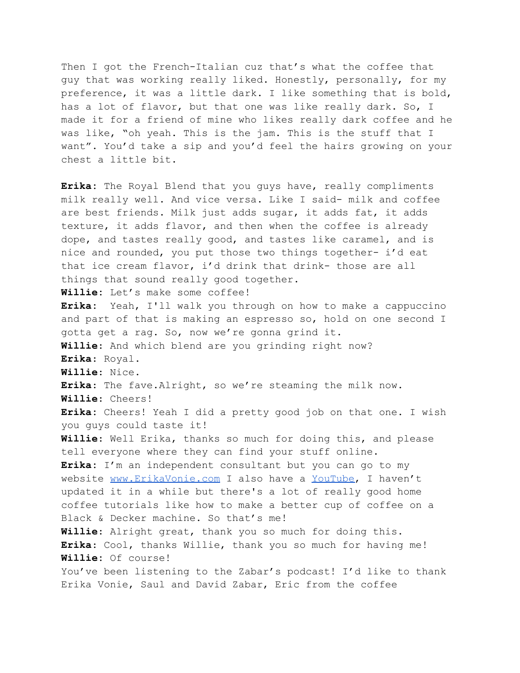Then I got the French-Italian cuz that's what the coffee that guy that was working really liked. Honestly, personally, for my preference, it was a little dark. I like something that is bold, has a lot of flavor, but that one was like really dark. So, I made it for a friend of mine who likes really dark coffee and he was like, "oh yeah. This is the jam. This is the stuff that I want". You'd take a sip and you'd feel the hairs growing on your chest a little bit.

**Erika:** The Royal Blend that you guys have, really compliments milk really well. And vice versa. Like I said- milk and coffee are best friends. Milk just adds sugar, it adds fat, it adds texture, it adds flavor, and then when the coffee is already dope, and tastes really good, and tastes like caramel, and is nice and rounded, you put those two things together- i'd eat that ice cream flavor, i'd drink that drink- those are all things that sound really good together. **Willie:** Let's make some coffee! **Erika:** Yeah, I'll walk you through on how to make a cappuccino and part of that is making an espresso so, hold on one second I gotta get a rag. So, now we're gonna grind it. **Willie**: And which blend are you grinding right now? **Erika**: Royal. **Willie**: Nice. **Erika**: The fave.Alright, so we're steaming the milk now. **Willie**: Cheers! **Erika:** Cheers! Yeah I did a pretty good job on that one. I wish you guys could taste it! **Willie**: Well Erika, thanks so much for doing this, and please tell everyone where they can find your stuff online. **Erika:** I'm an independent consultant but you can go to my website [www.ErikaVonie.com](http://www.erikavonie.com) I also have a [YouTube,](https://www.youtube.com/channel/UCDRpqzBT9sneuw7ZdI2c_bg) I haven't updated it in a while but there's a lot of really good home coffee tutorials like how to make a better cup of coffee on a Black & Decker machine. So that's me! **Willie**: Alright great, thank you so much for doing this. **Erika**: Cool, thanks Willie, thank you so much for having me! **Willie:** Of course! You've been listening to the Zabar's podcast! I'd like to thank Erika Vonie, Saul and David Zabar, Eric from the coffee